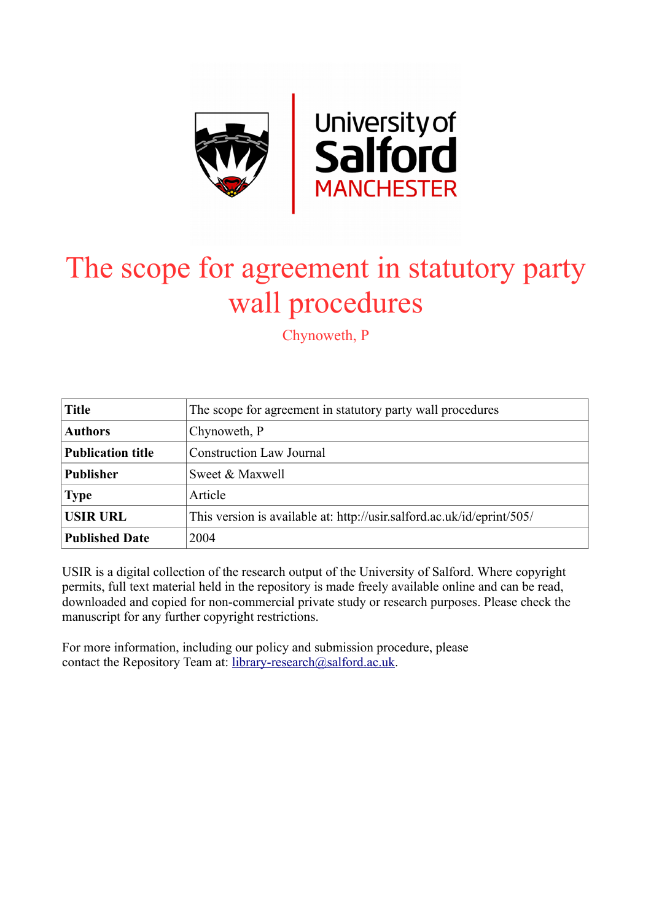

# The scope for agreement in statutory party wall procedures

Chynoweth, P

| <b>Title</b>             | The scope for agreement in statutory party wall procedures             |
|--------------------------|------------------------------------------------------------------------|
| <b>Authors</b>           | Chynoweth, P                                                           |
| <b>Publication title</b> | <b>Construction Law Journal</b>                                        |
| <b>Publisher</b>         | Sweet & Maxwell                                                        |
| <b>Type</b>              | Article                                                                |
| <b>USIR URL</b>          | This version is available at: http://usir.salford.ac.uk/id/eprint/505/ |
| <b>Published Date</b>    | 2004                                                                   |

USIR is a digital collection of the research output of the University of Salford. Where copyright permits, full text material held in the repository is made freely available online and can be read, downloaded and copied for non-commercial private study or research purposes. Please check the manuscript for any further copyright restrictions.

For more information, including our policy and submission procedure, please contact the Repository Team at: [library-research@salford.ac.uk.](mailto:library-research@salford.ac.uk)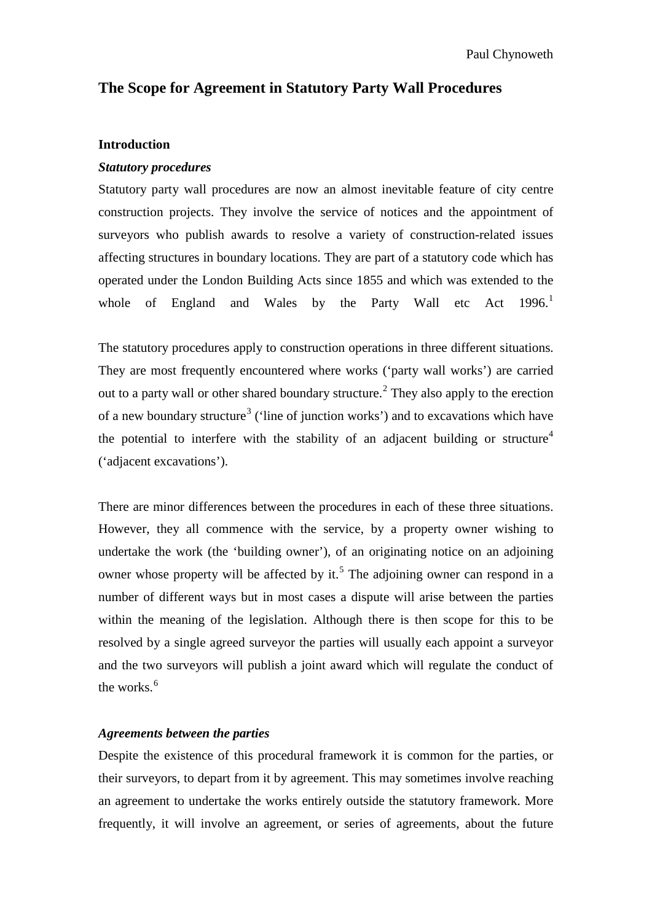## **The Scope for Agreement in Statutory Party Wall Procedures**

### **Introduction**

## *Statutory procedures*

Statutory party wall procedures are now an almost inevitable feature of city centre construction projects. They involve the service of notices and the appointment of surveyors who publish awards to resolve a variety of construction-related issues affecting structures in boundary locations. They are part of a statutory code which has operated under the London Building Acts since 1855 and which was extended to the whole of England and Wales by the Party Wall etc Act [1](#page-18-0)996.<sup>1</sup>

The statutory procedures apply to construction operations in three different situations. They are most frequently encountered where works ('party wall works') are carried out to a party wall or other shared boundary structure.<sup>[2](#page-18-1)</sup> They also apply to the erection of a new boundary structure<sup>[3](#page-18-2)</sup> ('line of junction works') and to excavations which have the potential to interfere with the stability of an adjacent building or structure<sup>[4](#page-18-3)</sup> ('adjacent excavations').

There are minor differences between the procedures in each of these three situations. However, they all commence with the service, by a property owner wishing to undertake the work (the 'building owner'), of an originating notice on an adjoining owner whose property will be affected by it.<sup>[5](#page-18-4)</sup> The adjoining owner can respond in a number of different ways but in most cases a dispute will arise between the parties within the meaning of the legislation. Although there is then scope for this to be resolved by a single agreed surveyor the parties will usually each appoint a surveyor and the two surveyors will publish a joint award which will regulate the conduct of the works.<sup>[6](#page-18-5)</sup>

## *Agreements between the parties*

Despite the existence of this procedural framework it is common for the parties, or their surveyors, to depart from it by agreement. This may sometimes involve reaching an agreement to undertake the works entirely outside the statutory framework. More frequently, it will involve an agreement, or series of agreements, about the future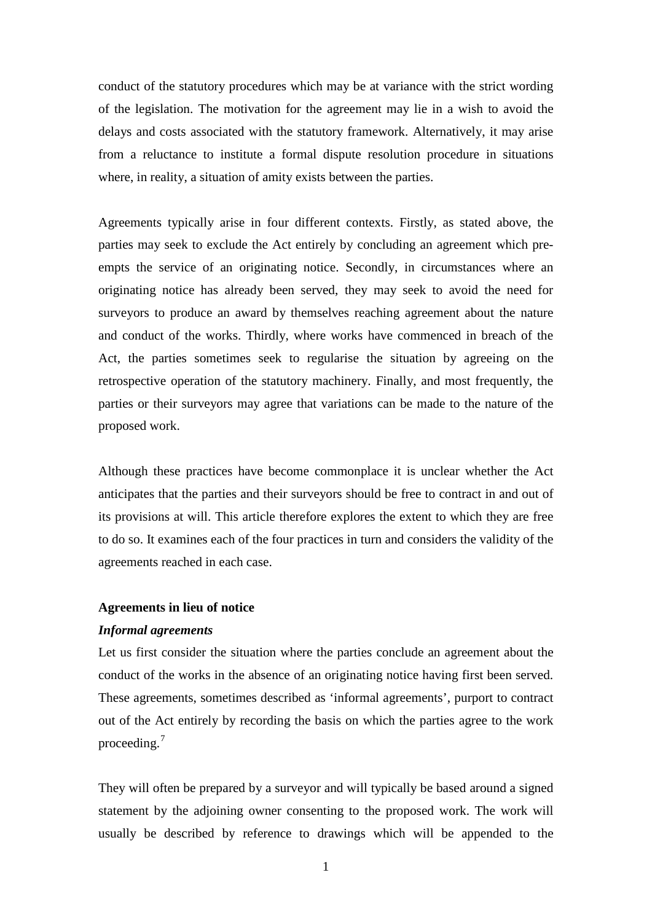conduct of the statutory procedures which may be at variance with the strict wording of the legislation. The motivation for the agreement may lie in a wish to avoid the delays and costs associated with the statutory framework. Alternatively, it may arise from a reluctance to institute a formal dispute resolution procedure in situations where, in reality, a situation of amity exists between the parties.

Agreements typically arise in four different contexts. Firstly, as stated above, the parties may seek to exclude the Act entirely by concluding an agreement which preempts the service of an originating notice. Secondly, in circumstances where an originating notice has already been served, they may seek to avoid the need for surveyors to produce an award by themselves reaching agreement about the nature and conduct of the works. Thirdly, where works have commenced in breach of the Act, the parties sometimes seek to regularise the situation by agreeing on the retrospective operation of the statutory machinery. Finally, and most frequently, the parties or their surveyors may agree that variations can be made to the nature of the proposed work.

Although these practices have become commonplace it is unclear whether the Act anticipates that the parties and their surveyors should be free to contract in and out of its provisions at will. This article therefore explores the extent to which they are free to do so. It examines each of the four practices in turn and considers the validity of the agreements reached in each case.

#### **Agreements in lieu of notice**

## *Informal agreements*

Let us first consider the situation where the parties conclude an agreement about the conduct of the works in the absence of an originating notice having first been served. These agreements, sometimes described as 'informal agreements', purport to contract out of the Act entirely by recording the basis on which the parties agree to the work proceeding.[7](#page-18-6)

They will often be prepared by a surveyor and will typically be based around a signed statement by the adjoining owner consenting to the proposed work. The work will usually be described by reference to drawings which will be appended to the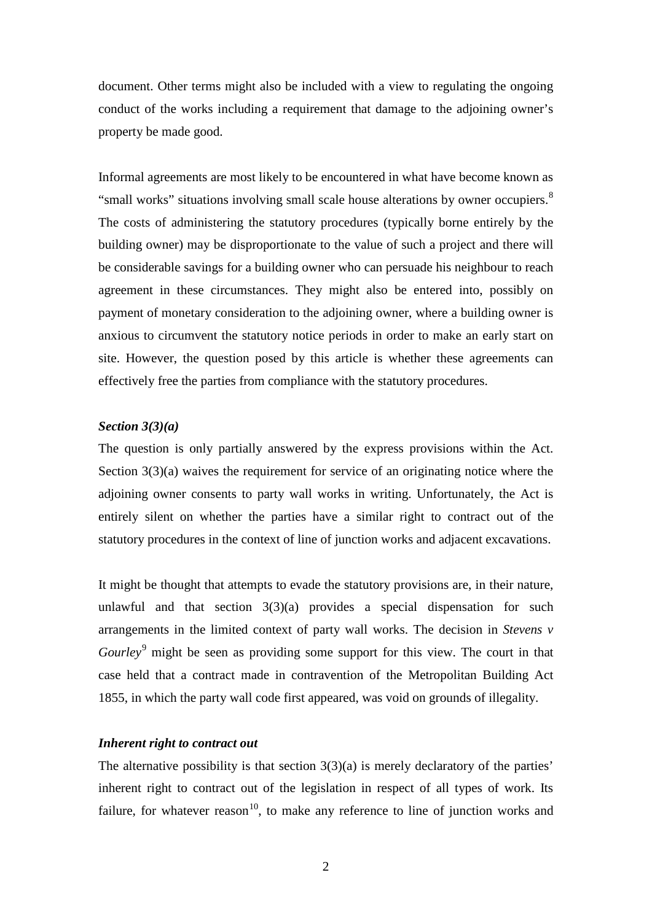document. Other terms might also be included with a view to regulating the ongoing conduct of the works including a requirement that damage to the adjoining owner's property be made good.

Informal agreements are most likely to be encountered in what have become known as "small works" situations involving small scale house alterations by owner occupiers.<sup>[8](#page-18-7)</sup> The costs of administering the statutory procedures (typically borne entirely by the building owner) may be disproportionate to the value of such a project and there will be considerable savings for a building owner who can persuade his neighbour to reach agreement in these circumstances. They might also be entered into, possibly on payment of monetary consideration to the adjoining owner, where a building owner is anxious to circumvent the statutory notice periods in order to make an early start on site. However, the question posed by this article is whether these agreements can effectively free the parties from compliance with the statutory procedures.

## *Section 3(3)(a)*

The question is only partially answered by the express provisions within the Act. Section 3(3)(a) waives the requirement for service of an originating notice where the adjoining owner consents to party wall works in writing. Unfortunately, the Act is entirely silent on whether the parties have a similar right to contract out of the statutory procedures in the context of line of junction works and adjacent excavations.

It might be thought that attempts to evade the statutory provisions are, in their nature, unlawful and that section  $3(3)(a)$  provides a special dispensation for such arrangements in the limited context of party wall works. The decision in *Stevens v Gourley*<sup>[9](#page-18-8)</sup> might be seen as providing some support for this view. The court in that case held that a contract made in contravention of the Metropolitan Building Act 1855, in which the party wall code first appeared, was void on grounds of illegality.

## *Inherent right to contract out*

The alternative possibility is that section  $3(3)(a)$  is merely declaratory of the parties' inherent right to contract out of the legislation in respect of all types of work. Its failure, for whatever reason<sup>10</sup>, to make any reference to line of junction works and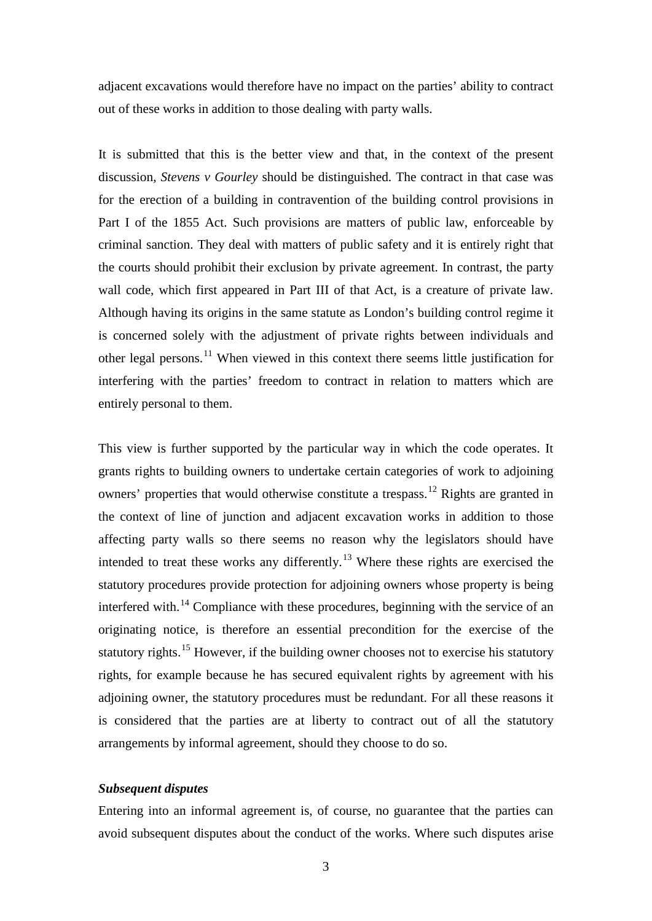adjacent excavations would therefore have no impact on the parties' ability to contract out of these works in addition to those dealing with party walls.

It is submitted that this is the better view and that, in the context of the present discussion, *Stevens v Gourley* should be distinguished. The contract in that case was for the erection of a building in contravention of the building control provisions in Part I of the 1855 Act. Such provisions are matters of public law, enforceable by criminal sanction. They deal with matters of public safety and it is entirely right that the courts should prohibit their exclusion by private agreement. In contrast, the party wall code, which first appeared in Part III of that Act, is a creature of private law. Although having its origins in the same statute as London's building control regime it is concerned solely with the adjustment of private rights between individuals and other legal persons.<sup>[11](#page-18-10)</sup> When viewed in this context there seems little justification for interfering with the parties' freedom to contract in relation to matters which are entirely personal to them.

This view is further supported by the particular way in which the code operates. It grants rights to building owners to undertake certain categories of work to adjoining owners' properties that would otherwise constitute a trespass.<sup>[12](#page-18-11)</sup> Rights are granted in the context of line of junction and adjacent excavation works in addition to those affecting party walls so there seems no reason why the legislators should have intended to treat these works any differently.<sup>[13](#page-18-12)</sup> Where these rights are exercised the statutory procedures provide protection for adjoining owners whose property is being interfered with.<sup>[14](#page-18-13)</sup> Compliance with these procedures, beginning with the service of an originating notice, is therefore an essential precondition for the exercise of the statutory rights.<sup>[15](#page-18-14)</sup> However, if the building owner chooses not to exercise his statutory rights, for example because he has secured equivalent rights by agreement with his adjoining owner, the statutory procedures must be redundant. For all these reasons it is considered that the parties are at liberty to contract out of all the statutory arrangements by informal agreement, should they choose to do so.

## *Subsequent disputes*

Entering into an informal agreement is, of course, no guarantee that the parties can avoid subsequent disputes about the conduct of the works. Where such disputes arise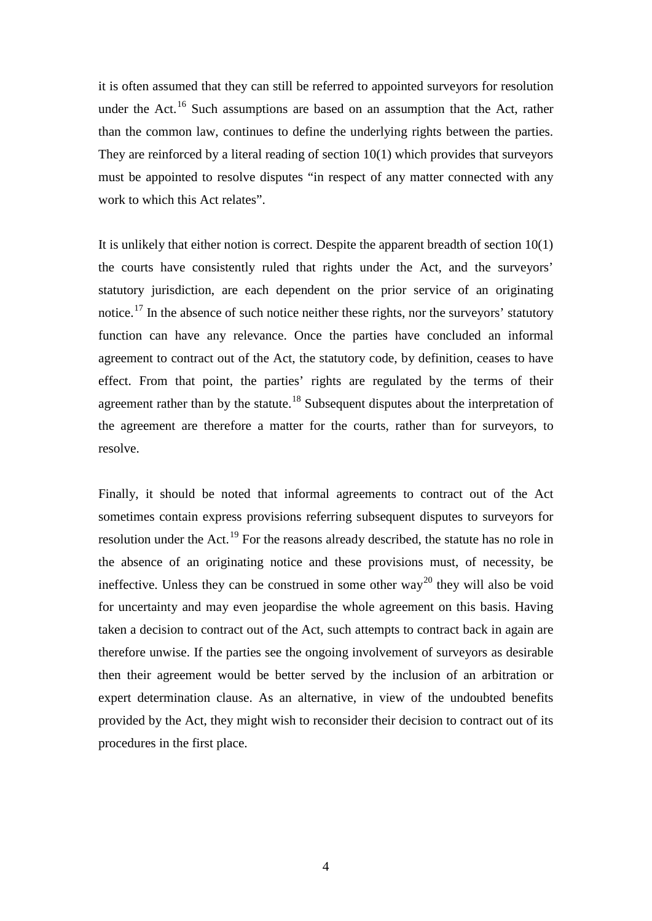it is often assumed that they can still be referred to appointed surveyors for resolution under the Act.<sup>[16](#page-18-15)</sup> Such assumptions are based on an assumption that the Act, rather than the common law, continues to define the underlying rights between the parties. They are reinforced by a literal reading of section 10(1) which provides that surveyors must be appointed to resolve disputes "in respect of any matter connected with any work to which this Act relates".

It is unlikely that either notion is correct. Despite the apparent breadth of section 10(1) the courts have consistently ruled that rights under the Act, and the surveyors' statutory jurisdiction, are each dependent on the prior service of an originating notice.<sup>[17](#page-19-0)</sup> In the absence of such notice neither these rights, nor the surveyors' statutory function can have any relevance. Once the parties have concluded an informal agreement to contract out of the Act, the statutory code, by definition, ceases to have effect. From that point, the parties' rights are regulated by the terms of their agreement rather than by the statute.<sup>[18](#page-19-1)</sup> Subsequent disputes about the interpretation of the agreement are therefore a matter for the courts, rather than for surveyors, to resolve.

Finally, it should be noted that informal agreements to contract out of the Act sometimes contain express provisions referring subsequent disputes to surveyors for resolution under the Act.<sup>[19](#page-19-2)</sup> For the reasons already described, the statute has no role in the absence of an originating notice and these provisions must, of necessity, be ineffective. Unless they can be construed in some other way<sup>[20](#page-19-3)</sup> they will also be void for uncertainty and may even jeopardise the whole agreement on this basis. Having taken a decision to contract out of the Act, such attempts to contract back in again are therefore unwise. If the parties see the ongoing involvement of surveyors as desirable then their agreement would be better served by the inclusion of an arbitration or expert determination clause. As an alternative, in view of the undoubted benefits provided by the Act, they might wish to reconsider their decision to contract out of its procedures in the first place.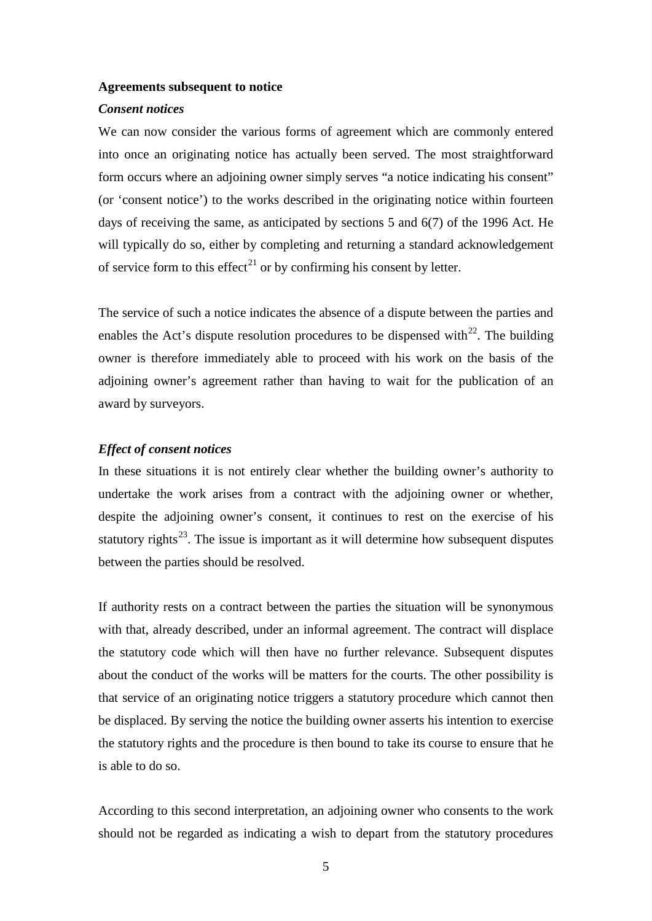#### **Agreements subsequent to notice**

#### *Consent notices*

We can now consider the various forms of agreement which are commonly entered into once an originating notice has actually been served. The most straightforward form occurs where an adjoining owner simply serves "a notice indicating his consent" (or 'consent notice') to the works described in the originating notice within fourteen days of receiving the same, as anticipated by sections 5 and 6(7) of the 1996 Act. He will typically do so, either by completing and returning a standard acknowledgement of service form to this effect<sup>[21](#page-19-4)</sup> or by confirming his consent by letter.

The service of such a notice indicates the absence of a dispute between the parties and enables the Act's dispute resolution procedures to be dispensed with $^{22}$ . The building owner is therefore immediately able to proceed with his work on the basis of the adjoining owner's agreement rather than having to wait for the publication of an award by surveyors.

## *Effect of consent notices*

In these situations it is not entirely clear whether the building owner's authority to undertake the work arises from a contract with the adjoining owner or whether, despite the adjoining owner's consent, it continues to rest on the exercise of his statutory rights<sup>[23](#page-19-6)</sup>. The issue is important as it will determine how subsequent disputes between the parties should be resolved.

If authority rests on a contract between the parties the situation will be synonymous with that, already described, under an informal agreement. The contract will displace the statutory code which will then have no further relevance. Subsequent disputes about the conduct of the works will be matters for the courts. The other possibility is that service of an originating notice triggers a statutory procedure which cannot then be displaced. By serving the notice the building owner asserts his intention to exercise the statutory rights and the procedure is then bound to take its course to ensure that he is able to do so.

According to this second interpretation, an adjoining owner who consents to the work should not be regarded as indicating a wish to depart from the statutory procedures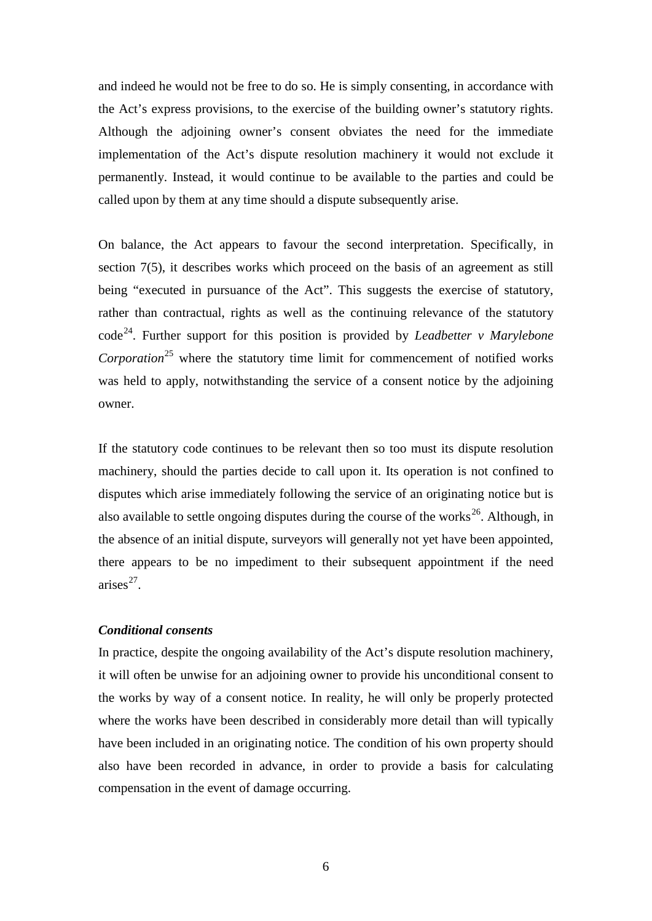and indeed he would not be free to do so. He is simply consenting, in accordance with the Act's express provisions, to the exercise of the building owner's statutory rights. Although the adjoining owner's consent obviates the need for the immediate implementation of the Act's dispute resolution machinery it would not exclude it permanently. Instead, it would continue to be available to the parties and could be called upon by them at any time should a dispute subsequently arise.

On balance, the Act appears to favour the second interpretation. Specifically, in section 7(5), it describes works which proceed on the basis of an agreement as still being "executed in pursuance of the Act". This suggests the exercise of statutory, rather than contractual, rights as well as the continuing relevance of the statutory code[24](#page-19-7). Further support for this position is provided by *Leadbetter v Marylebone Corporation*<sup>[25](#page-19-8)</sup> where the statutory time limit for commencement of notified works was held to apply, notwithstanding the service of a consent notice by the adjoining owner.

If the statutory code continues to be relevant then so too must its dispute resolution machinery, should the parties decide to call upon it. Its operation is not confined to disputes which arise immediately following the service of an originating notice but is also available to settle ongoing disputes during the course of the works<sup>26</sup>. Although, in the absence of an initial dispute, surveyors will generally not yet have been appointed, there appears to be no impediment to their subsequent appointment if the need  $arises<sup>27</sup>$ .

## *Conditional consents*

In practice, despite the ongoing availability of the Act's dispute resolution machinery, it will often be unwise for an adjoining owner to provide his unconditional consent to the works by way of a consent notice. In reality, he will only be properly protected where the works have been described in considerably more detail than will typically have been included in an originating notice. The condition of his own property should also have been recorded in advance, in order to provide a basis for calculating compensation in the event of damage occurring.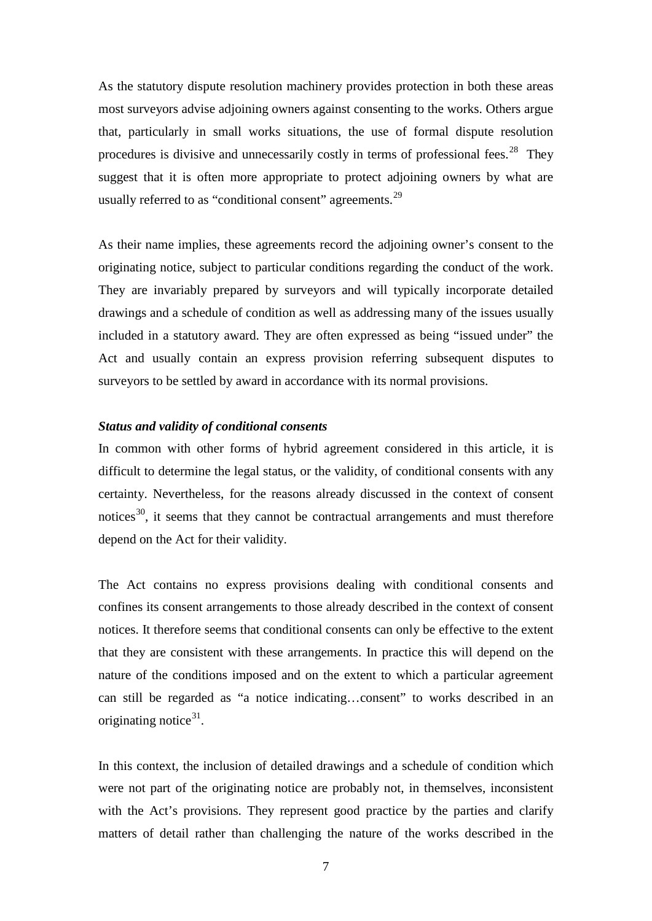As the statutory dispute resolution machinery provides protection in both these areas most surveyors advise adjoining owners against consenting to the works. Others argue that, particularly in small works situations, the use of formal dispute resolution procedures is divisive and unnecessarily costly in terms of professional fees.<sup>[28](#page-19-11)</sup> They suggest that it is often more appropriate to protect adjoining owners by what are usually referred to as "conditional consent" agreements.<sup>[29](#page-19-12)</sup>

As their name implies, these agreements record the adjoining owner's consent to the originating notice, subject to particular conditions regarding the conduct of the work. They are invariably prepared by surveyors and will typically incorporate detailed drawings and a schedule of condition as well as addressing many of the issues usually included in a statutory award. They are often expressed as being "issued under" the Act and usually contain an express provision referring subsequent disputes to surveyors to be settled by award in accordance with its normal provisions.

## *Status and validity of conditional consents*

In common with other forms of hybrid agreement considered in this article, it is difficult to determine the legal status, or the validity, of conditional consents with any certainty. Nevertheless, for the reasons already discussed in the context of consent notices<sup>30</sup>, it seems that they cannot be contractual arrangements and must therefore depend on the Act for their validity.

The Act contains no express provisions dealing with conditional consents and confines its consent arrangements to those already described in the context of consent notices. It therefore seems that conditional consents can only be effective to the extent that they are consistent with these arrangements. In practice this will depend on the nature of the conditions imposed and on the extent to which a particular agreement can still be regarded as "a notice indicating…consent" to works described in an originating notice $31$ .

In this context, the inclusion of detailed drawings and a schedule of condition which were not part of the originating notice are probably not, in themselves, inconsistent with the Act's provisions. They represent good practice by the parties and clarify matters of detail rather than challenging the nature of the works described in the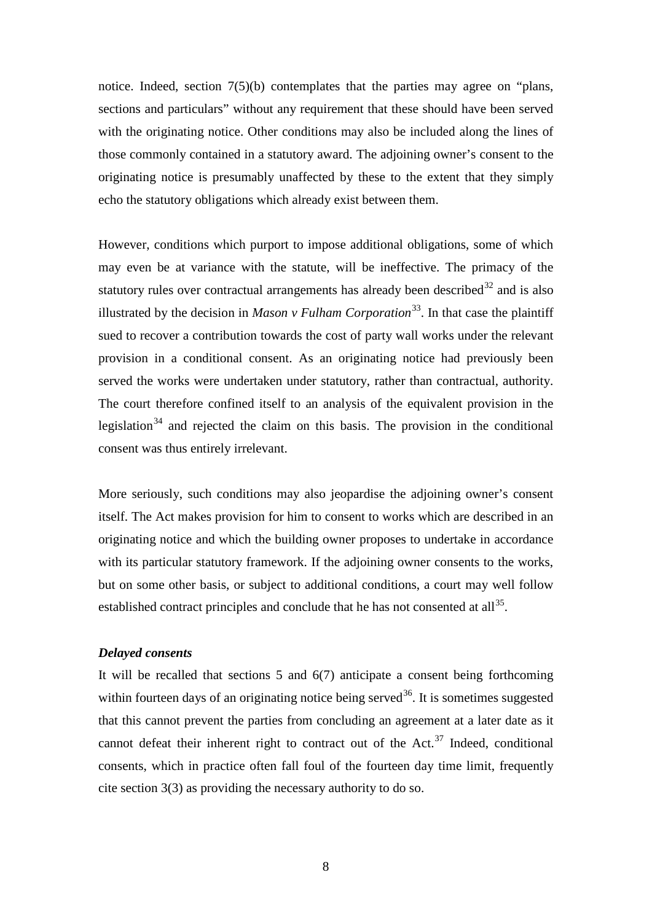notice. Indeed, section 7(5)(b) contemplates that the parties may agree on "plans, sections and particulars" without any requirement that these should have been served with the originating notice. Other conditions may also be included along the lines of those commonly contained in a statutory award. The adjoining owner's consent to the originating notice is presumably unaffected by these to the extent that they simply echo the statutory obligations which already exist between them.

However, conditions which purport to impose additional obligations, some of which may even be at variance with the statute, will be ineffective. The primacy of the statutory rules over contractual arrangements has already been described<sup>[32](#page-19-15)</sup> and is also illustrated by the decision in *Mason v Fulham Corporation*<sup>[33](#page-19-16)</sup>. In that case the plaintiff sued to recover a contribution towards the cost of party wall works under the relevant provision in a conditional consent. As an originating notice had previously been served the works were undertaken under statutory, rather than contractual, authority. The court therefore confined itself to an analysis of the equivalent provision in the legislation<sup>[34](#page-19-17)</sup> and rejected the claim on this basis. The provision in the conditional consent was thus entirely irrelevant.

More seriously, such conditions may also jeopardise the adjoining owner's consent itself. The Act makes provision for him to consent to works which are described in an originating notice and which the building owner proposes to undertake in accordance with its particular statutory framework. If the adjoining owner consents to the works, but on some other basis, or subject to additional conditions, a court may well follow established contract principles and conclude that he has not consented at all<sup>35</sup>.

## *Delayed consents*

It will be recalled that sections 5 and 6(7) anticipate a consent being forthcoming within fourteen days of an originating notice being served<sup>36</sup>. It is sometimes suggested that this cannot prevent the parties from concluding an agreement at a later date as it cannot defeat their inherent right to contract out of the Act.<sup>[37](#page-19-20)</sup> Indeed, conditional consents, which in practice often fall foul of the fourteen day time limit, frequently cite section 3(3) as providing the necessary authority to do so.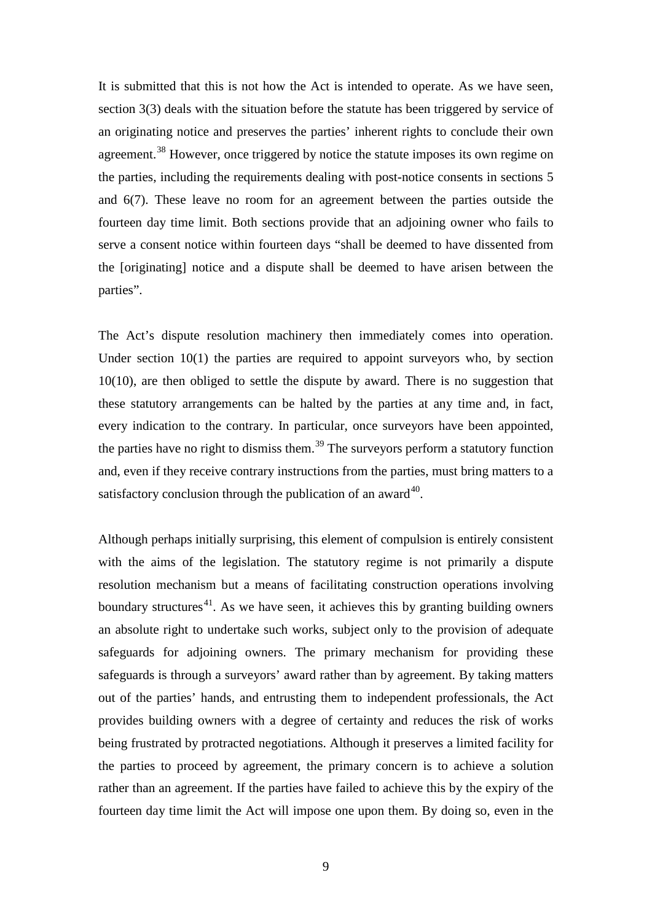It is submitted that this is not how the Act is intended to operate. As we have seen, section 3(3) deals with the situation before the statute has been triggered by service of an originating notice and preserves the parties' inherent rights to conclude their own agreement.<sup>[38](#page-19-21)</sup> However, once triggered by notice the statute imposes its own regime on the parties, including the requirements dealing with post-notice consents in sections 5 and 6(7). These leave no room for an agreement between the parties outside the fourteen day time limit. Both sections provide that an adjoining owner who fails to serve a consent notice within fourteen days "shall be deemed to have dissented from the [originating] notice and a dispute shall be deemed to have arisen between the parties".

The Act's dispute resolution machinery then immediately comes into operation. Under section 10(1) the parties are required to appoint surveyors who, by section 10(10), are then obliged to settle the dispute by award. There is no suggestion that these statutory arrangements can be halted by the parties at any time and, in fact, every indication to the contrary. In particular, once surveyors have been appointed, the parties have no right to dismiss them.<sup>[39](#page-19-22)</sup> The surveyors perform a statutory function and, even if they receive contrary instructions from the parties, must bring matters to a satisfactory conclusion through the publication of an award<sup>40</sup>.

Although perhaps initially surprising, this element of compulsion is entirely consistent with the aims of the legislation. The statutory regime is not primarily a dispute resolution mechanism but a means of facilitating construction operations involving boundary structures<sup>[41](#page-20-1)</sup>. As we have seen, it achieves this by granting building owners an absolute right to undertake such works, subject only to the provision of adequate safeguards for adjoining owners. The primary mechanism for providing these safeguards is through a surveyors' award rather than by agreement. By taking matters out of the parties' hands, and entrusting them to independent professionals, the Act provides building owners with a degree of certainty and reduces the risk of works being frustrated by protracted negotiations. Although it preserves a limited facility for the parties to proceed by agreement, the primary concern is to achieve a solution rather than an agreement. If the parties have failed to achieve this by the expiry of the fourteen day time limit the Act will impose one upon them. By doing so, even in the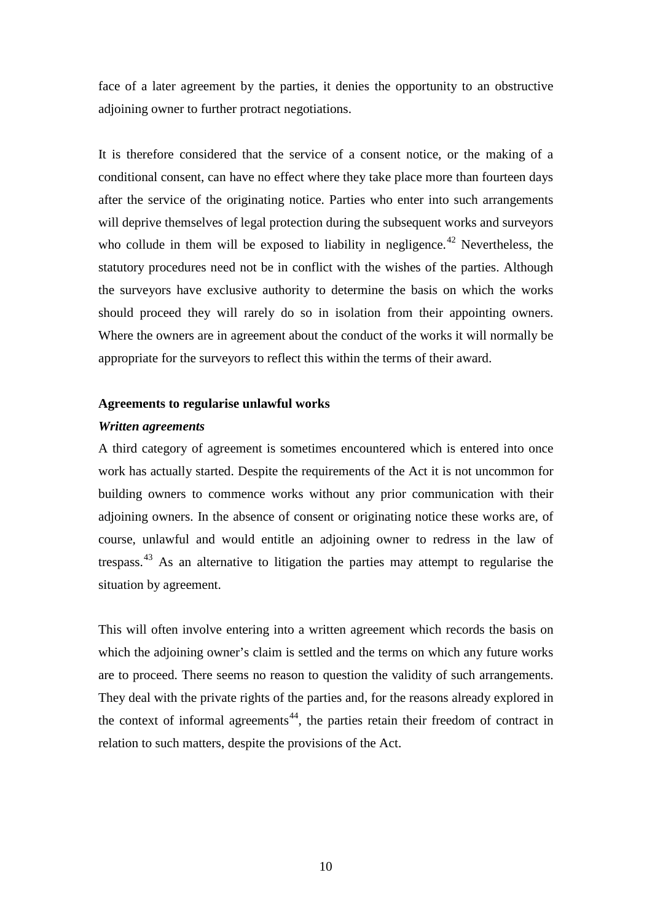face of a later agreement by the parties, it denies the opportunity to an obstructive adjoining owner to further protract negotiations.

It is therefore considered that the service of a consent notice, or the making of a conditional consent, can have no effect where they take place more than fourteen days after the service of the originating notice. Parties who enter into such arrangements will deprive themselves of legal protection during the subsequent works and surveyors who collude in them will be exposed to liability in negligence.<sup>[42](#page-20-2)</sup> Nevertheless, the statutory procedures need not be in conflict with the wishes of the parties. Although the surveyors have exclusive authority to determine the basis on which the works should proceed they will rarely do so in isolation from their appointing owners. Where the owners are in agreement about the conduct of the works it will normally be appropriate for the surveyors to reflect this within the terms of their award.

#### **Agreements to regularise unlawful works**

## *Written agreements*

A third category of agreement is sometimes encountered which is entered into once work has actually started. Despite the requirements of the Act it is not uncommon for building owners to commence works without any prior communication with their adjoining owners. In the absence of consent or originating notice these works are, of course, unlawful and would entitle an adjoining owner to redress in the law of trespass.<sup>[43](#page-20-3)</sup> As an alternative to litigation the parties may attempt to regularise the situation by agreement.

This will often involve entering into a written agreement which records the basis on which the adjoining owner's claim is settled and the terms on which any future works are to proceed. There seems no reason to question the validity of such arrangements. They deal with the private rights of the parties and, for the reasons already explored in the context of informal agreements<sup>44</sup>, the parties retain their freedom of contract in relation to such matters, despite the provisions of the Act.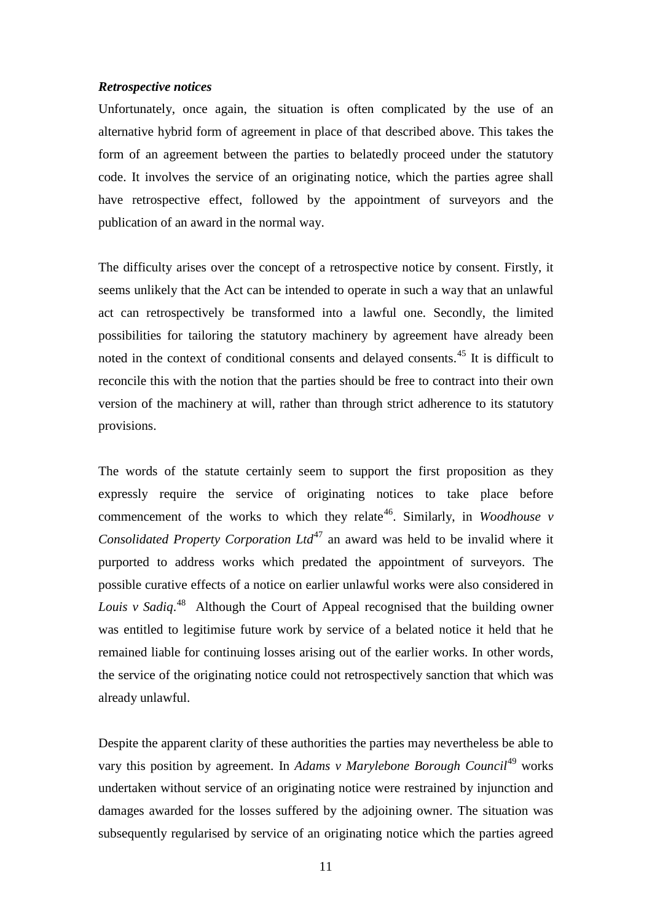#### *Retrospective notices*

Unfortunately, once again, the situation is often complicated by the use of an alternative hybrid form of agreement in place of that described above. This takes the form of an agreement between the parties to belatedly proceed under the statutory code. It involves the service of an originating notice, which the parties agree shall have retrospective effect, followed by the appointment of surveyors and the publication of an award in the normal way.

The difficulty arises over the concept of a retrospective notice by consent. Firstly, it seems unlikely that the Act can be intended to operate in such a way that an unlawful act can retrospectively be transformed into a lawful one. Secondly, the limited possibilities for tailoring the statutory machinery by agreement have already been noted in the context of conditional consents and delayed consents.<sup>[45](#page-20-5)</sup> It is difficult to reconcile this with the notion that the parties should be free to contract into their own version of the machinery at will, rather than through strict adherence to its statutory provisions.

The words of the statute certainly seem to support the first proposition as they expressly require the service of originating notices to take place before commencement of the works to which they relate<sup>46</sup>. Similarly, in *Woodhouse v Consolidated Property Corporation Ltd*[47](#page-20-7) an award was held to be invalid where it purported to address works which predated the appointment of surveyors. The possible curative effects of a notice on earlier unlawful works were also considered in *Louis v Sadiq*. [48](#page-20-8) Although the Court of Appeal recognised that the building owner was entitled to legitimise future work by service of a belated notice it held that he remained liable for continuing losses arising out of the earlier works. In other words, the service of the originating notice could not retrospectively sanction that which was already unlawful.

Despite the apparent clarity of these authorities the parties may nevertheless be able to vary this position by agreement. In *Adams v Marylebone Borough Council*<sup>[49](#page-20-9)</sup> works undertaken without service of an originating notice were restrained by injunction and damages awarded for the losses suffered by the adjoining owner. The situation was subsequently regularised by service of an originating notice which the parties agreed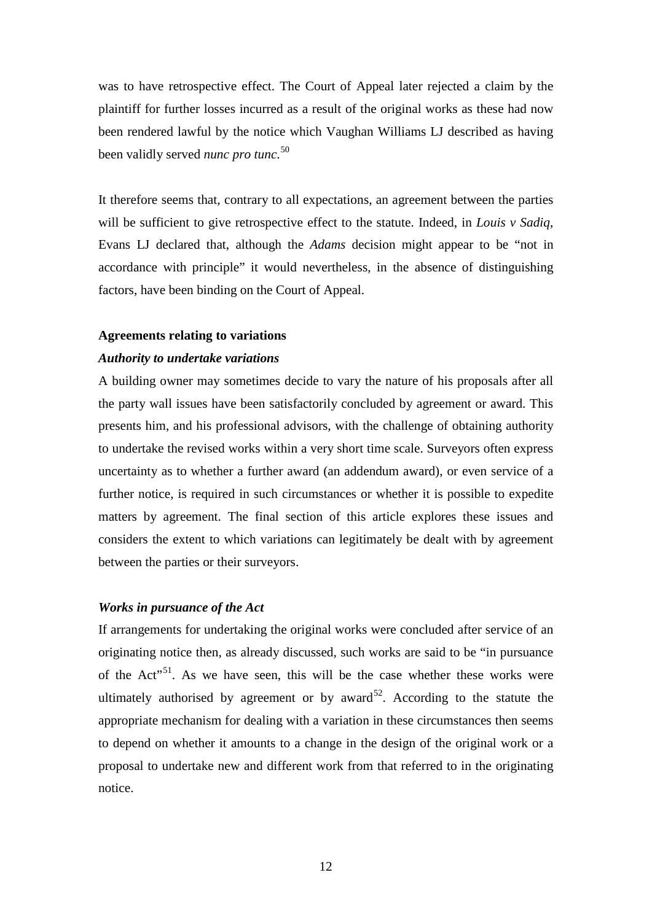was to have retrospective effect. The Court of Appeal later rejected a claim by the plaintiff for further losses incurred as a result of the original works as these had now been rendered lawful by the notice which Vaughan Williams LJ described as having been validly served *nunc pro tunc*. [50](#page-20-10)

It therefore seems that, contrary to all expectations, an agreement between the parties will be sufficient to give retrospective effect to the statute. Indeed, in *Louis v Sadiq*, Evans LJ declared that, although the *Adams* decision might appear to be "not in accordance with principle" it would nevertheless, in the absence of distinguishing factors, have been binding on the Court of Appeal.

#### **Agreements relating to variations**

## *Authority to undertake variations*

A building owner may sometimes decide to vary the nature of his proposals after all the party wall issues have been satisfactorily concluded by agreement or award. This presents him, and his professional advisors, with the challenge of obtaining authority to undertake the revised works within a very short time scale. Surveyors often express uncertainty as to whether a further award (an addendum award), or even service of a further notice, is required in such circumstances or whether it is possible to expedite matters by agreement. The final section of this article explores these issues and considers the extent to which variations can legitimately be dealt with by agreement between the parties or their surveyors.

#### *Works in pursuance of the Act*

If arrangements for undertaking the original works were concluded after service of an originating notice then, as already discussed, such works are said to be "in pursuance of the  $Act^{\prime51}$  $Act^{\prime51}$  $Act^{\prime51}$ . As we have seen, this will be the case whether these works were ultimately authorised by agreement or by award<sup>[52](#page-20-12)</sup>. According to the statute the appropriate mechanism for dealing with a variation in these circumstances then seems to depend on whether it amounts to a change in the design of the original work or a proposal to undertake new and different work from that referred to in the originating notice.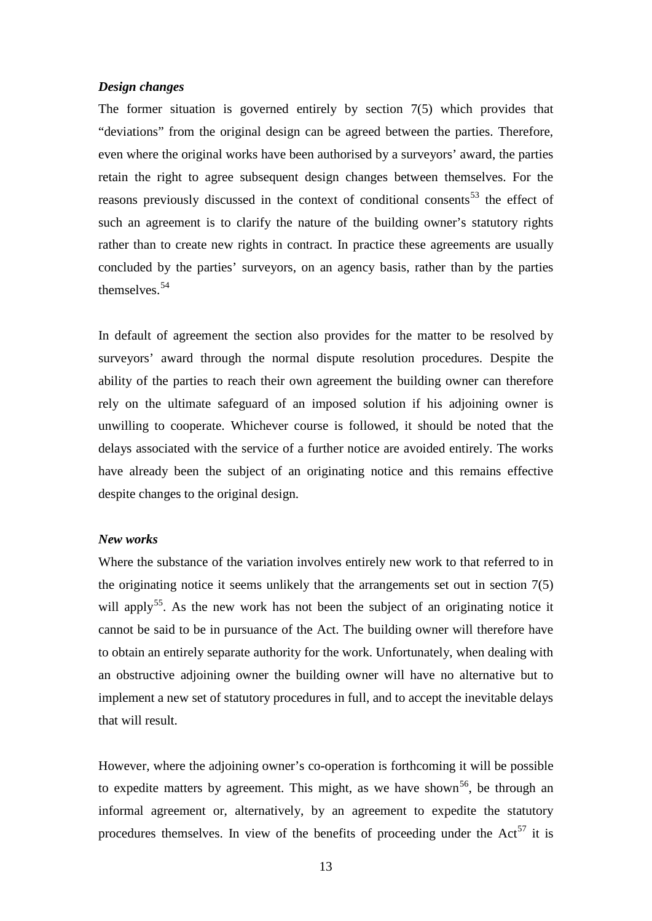## *Design changes*

The former situation is governed entirely by section 7(5) which provides that "deviations" from the original design can be agreed between the parties. Therefore, even where the original works have been authorised by a surveyors' award, the parties retain the right to agree subsequent design changes between themselves. For the reasons previously discussed in the context of conditional consents<sup>[53](#page-20-13)</sup> the effect of such an agreement is to clarify the nature of the building owner's statutory rights rather than to create new rights in contract. In practice these agreements are usually concluded by the parties' surveyors, on an agency basis, rather than by the parties themselves.[54](#page-20-14)

In default of agreement the section also provides for the matter to be resolved by surveyors' award through the normal dispute resolution procedures. Despite the ability of the parties to reach their own agreement the building owner can therefore rely on the ultimate safeguard of an imposed solution if his adjoining owner is unwilling to cooperate. Whichever course is followed, it should be noted that the delays associated with the service of a further notice are avoided entirely. The works have already been the subject of an originating notice and this remains effective despite changes to the original design.

#### *New works*

Where the substance of the variation involves entirely new work to that referred to in the originating notice it seems unlikely that the arrangements set out in section 7(5) will apply<sup>55</sup>. As the new work has not been the subject of an originating notice it cannot be said to be in pursuance of the Act. The building owner will therefore have to obtain an entirely separate authority for the work. Unfortunately, when dealing with an obstructive adjoining owner the building owner will have no alternative but to implement a new set of statutory procedures in full, and to accept the inevitable delays that will result.

However, where the adjoining owner's co-operation is forthcoming it will be possible to expedite matters by agreement. This might, as we have shown<sup>[56](#page-20-16)</sup>, be through an informal agreement or, alternatively, by an agreement to expedite the statutory procedures themselves. In view of the benefits of proceeding under the  $Act^{57}$  $Act^{57}$  $Act^{57}$  it is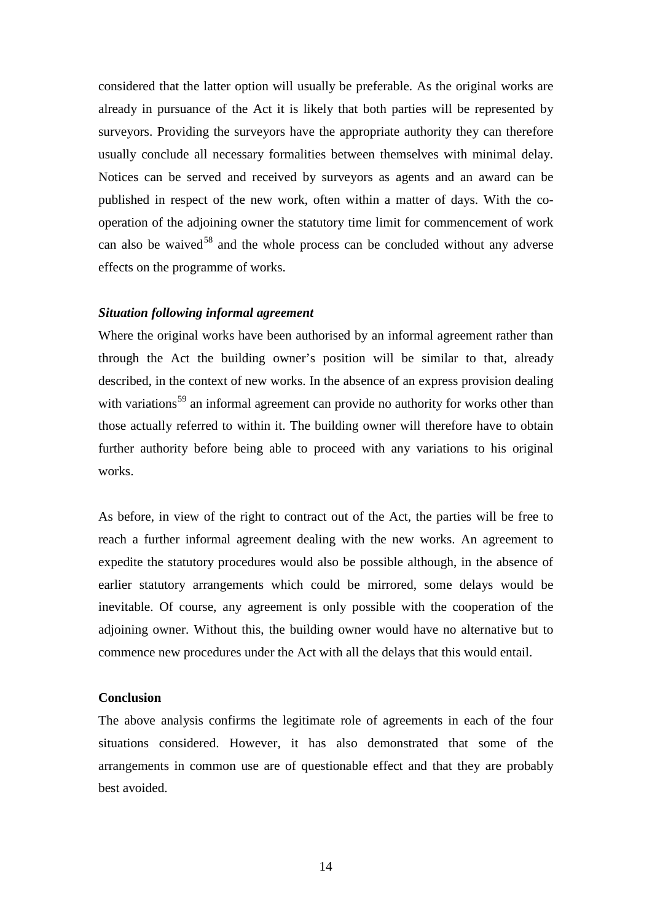considered that the latter option will usually be preferable. As the original works are already in pursuance of the Act it is likely that both parties will be represented by surveyors. Providing the surveyors have the appropriate authority they can therefore usually conclude all necessary formalities between themselves with minimal delay. Notices can be served and received by surveyors as agents and an award can be published in respect of the new work, often within a matter of days. With the cooperation of the adjoining owner the statutory time limit for commencement of work can also be waived<sup>[58](#page-20-18)</sup> and the whole process can be concluded without any adverse effects on the programme of works.

## *Situation following informal agreement*

Where the original works have been authorised by an informal agreement rather than through the Act the building owner's position will be similar to that, already described, in the context of new works. In the absence of an express provision dealing with variations<sup>[59](#page-20-19)</sup> an informal agreement can provide no authority for works other than those actually referred to within it. The building owner will therefore have to obtain further authority before being able to proceed with any variations to his original works.

As before, in view of the right to contract out of the Act, the parties will be free to reach a further informal agreement dealing with the new works. An agreement to expedite the statutory procedures would also be possible although, in the absence of earlier statutory arrangements which could be mirrored, some delays would be inevitable. Of course, any agreement is only possible with the cooperation of the adjoining owner. Without this, the building owner would have no alternative but to commence new procedures under the Act with all the delays that this would entail.

#### **Conclusion**

The above analysis confirms the legitimate role of agreements in each of the four situations considered. However, it has also demonstrated that some of the arrangements in common use are of questionable effect and that they are probably best avoided.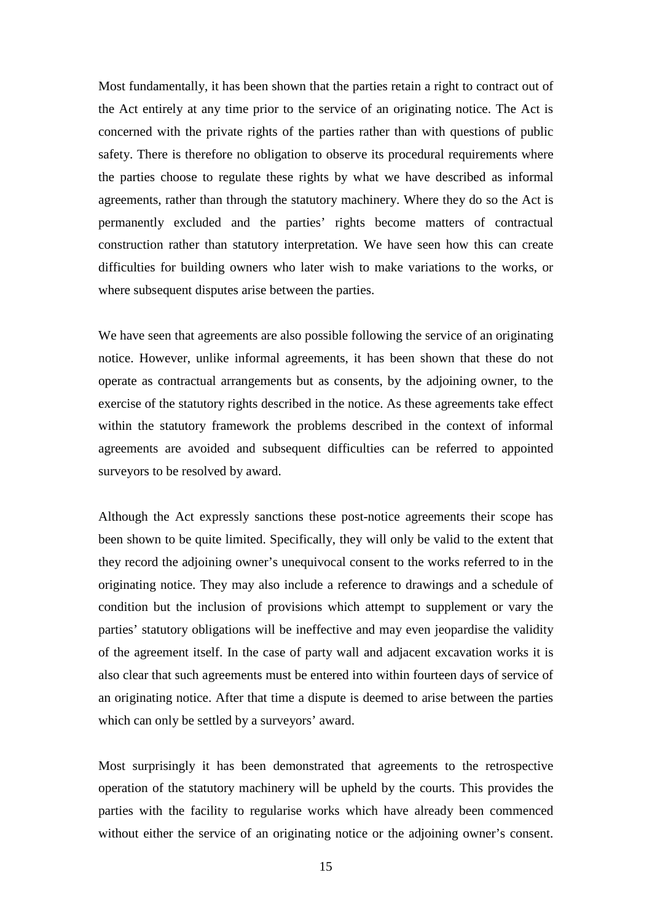Most fundamentally, it has been shown that the parties retain a right to contract out of the Act entirely at any time prior to the service of an originating notice. The Act is concerned with the private rights of the parties rather than with questions of public safety. There is therefore no obligation to observe its procedural requirements where the parties choose to regulate these rights by what we have described as informal agreements, rather than through the statutory machinery. Where they do so the Act is permanently excluded and the parties' rights become matters of contractual construction rather than statutory interpretation. We have seen how this can create difficulties for building owners who later wish to make variations to the works, or where subsequent disputes arise between the parties.

We have seen that agreements are also possible following the service of an originating notice. However, unlike informal agreements, it has been shown that these do not operate as contractual arrangements but as consents, by the adjoining owner, to the exercise of the statutory rights described in the notice. As these agreements take effect within the statutory framework the problems described in the context of informal agreements are avoided and subsequent difficulties can be referred to appointed surveyors to be resolved by award.

Although the Act expressly sanctions these post-notice agreements their scope has been shown to be quite limited. Specifically, they will only be valid to the extent that they record the adjoining owner's unequivocal consent to the works referred to in the originating notice. They may also include a reference to drawings and a schedule of condition but the inclusion of provisions which attempt to supplement or vary the parties' statutory obligations will be ineffective and may even jeopardise the validity of the agreement itself. In the case of party wall and adjacent excavation works it is also clear that such agreements must be entered into within fourteen days of service of an originating notice. After that time a dispute is deemed to arise between the parties which can only be settled by a surveyors' award.

Most surprisingly it has been demonstrated that agreements to the retrospective operation of the statutory machinery will be upheld by the courts. This provides the parties with the facility to regularise works which have already been commenced without either the service of an originating notice or the adjoining owner's consent.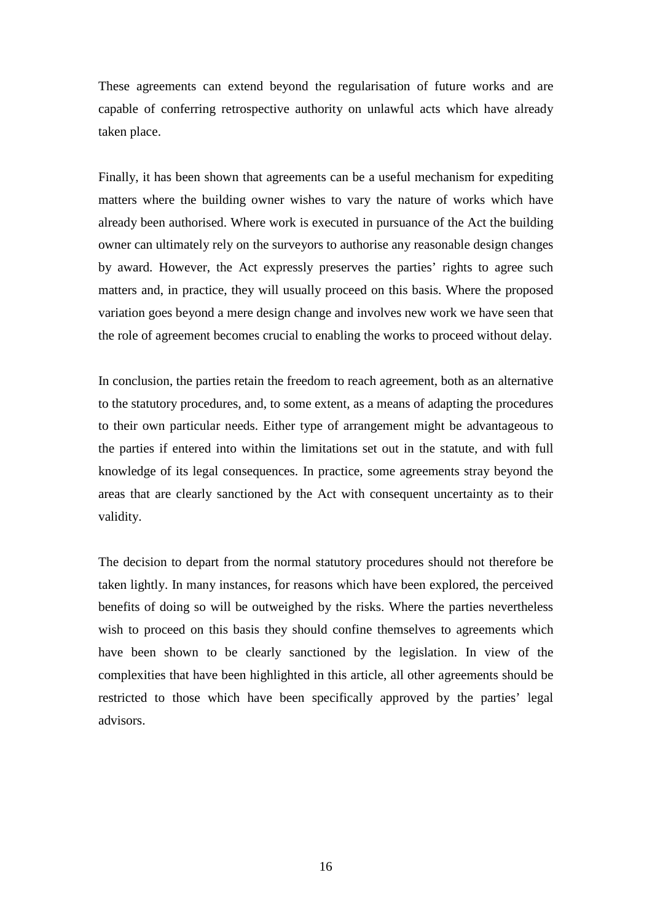These agreements can extend beyond the regularisation of future works and are capable of conferring retrospective authority on unlawful acts which have already taken place.

Finally, it has been shown that agreements can be a useful mechanism for expediting matters where the building owner wishes to vary the nature of works which have already been authorised. Where work is executed in pursuance of the Act the building owner can ultimately rely on the surveyors to authorise any reasonable design changes by award. However, the Act expressly preserves the parties' rights to agree such matters and, in practice, they will usually proceed on this basis. Where the proposed variation goes beyond a mere design change and involves new work we have seen that the role of agreement becomes crucial to enabling the works to proceed without delay.

In conclusion, the parties retain the freedom to reach agreement, both as an alternative to the statutory procedures, and, to some extent, as a means of adapting the procedures to their own particular needs. Either type of arrangement might be advantageous to the parties if entered into within the limitations set out in the statute, and with full knowledge of its legal consequences. In practice, some agreements stray beyond the areas that are clearly sanctioned by the Act with consequent uncertainty as to their validity.

The decision to depart from the normal statutory procedures should not therefore be taken lightly. In many instances, for reasons which have been explored, the perceived benefits of doing so will be outweighed by the risks. Where the parties nevertheless wish to proceed on this basis they should confine themselves to agreements which have been shown to be clearly sanctioned by the legislation. In view of the complexities that have been highlighted in this article, all other agreements should be restricted to those which have been specifically approved by the parties' legal advisors.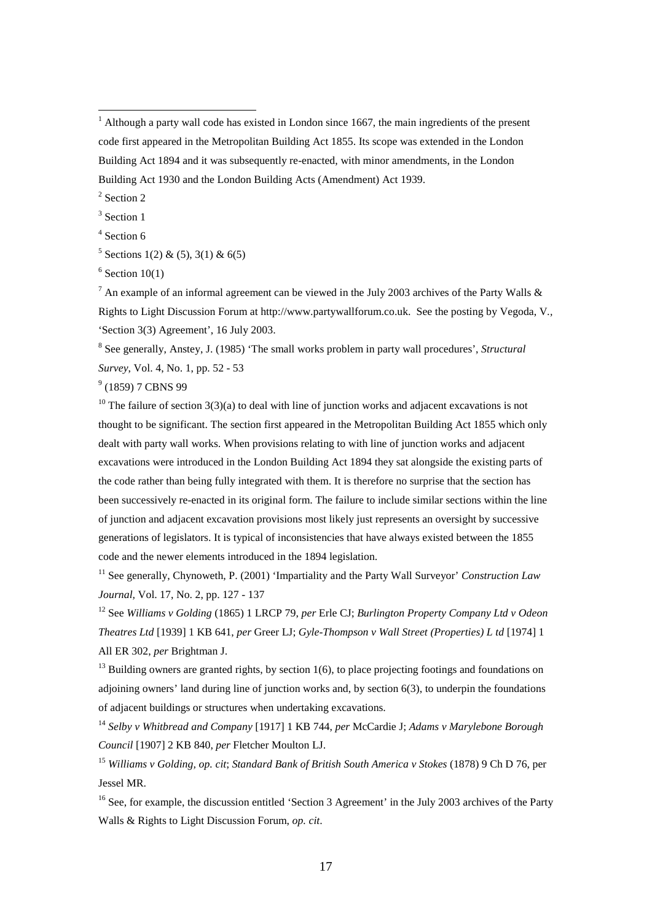<span id="page-18-1"></span><sup>2</sup> Section 2

<span id="page-18-2"></span><sup>3</sup> Section 1

<span id="page-18-6"></span><sup>7</sup> An example of an informal agreement can be viewed in the July 2003 archives of the Party Walls & Rights to Light Discussion Forum at http://www.partywallforum.co.uk. See the posting by Vegoda, V*.,*  'Section 3(3) Agreement', 16 July 2003.

<span id="page-18-7"></span><sup>8</sup> See generally, Anstey, J. (1985) 'The small works problem in party wall procedures', *Structural Survey*, Vol. 4, No. 1, pp. 52 - 53

<span id="page-18-8"></span><sup>9</sup> (1859) 7 CBNS 99

<span id="page-18-9"></span><sup>10</sup> The failure of section  $3(3)(a)$  to deal with line of junction works and adjacent excavations is not thought to be significant. The section first appeared in the Metropolitan Building Act 1855 which only dealt with party wall works. When provisions relating to with line of junction works and adjacent excavations were introduced in the London Building Act 1894 they sat alongside the existing parts of the code rather than being fully integrated with them. It is therefore no surprise that the section has been successively re-enacted in its original form. The failure to include similar sections within the line of junction and adjacent excavation provisions most likely just represents an oversight by successive generations of legislators. It is typical of inconsistencies that have always existed between the 1855 code and the newer elements introduced in the 1894 legislation.

<span id="page-18-10"></span><sup>11</sup> See generally, Chynoweth, P. (2001) 'Impartiality and the Party Wall Surveyor' *Construction Law Journal,* Vol. 17, No. 2, pp. 127 - 137

<span id="page-18-11"></span><sup>12</sup> See *Williams v Golding* (1865) 1 LRCP 79, *per* Erle CJ; *Burlington Property Company Ltd v Odeon Theatres Ltd* [1939] 1 KB 641, *per* Greer LJ; *Gyle-Thompson v Wall Street (Properties) L td* [1974] 1 All ER 302, *per* Brightman J.

<span id="page-18-12"></span> $^{13}$  Building owners are granted rights, by section 1(6), to place projecting footings and foundations on adjoining owners' land during line of junction works and, by section 6(3), to underpin the foundations of adjacent buildings or structures when undertaking excavations.

<span id="page-18-13"></span><sup>14</sup> *Selby v Whitbread and Company* [1917] 1 KB 744, *per* McCardie J; *Adams v Marylebone Borough Council* [1907] 2 KB 840, *per* Fletcher Moulton LJ.

<span id="page-18-14"></span><sup>15</sup> *Williams v Golding, op. cit*; *Standard Bank of British South America v Stokes* (1878) 9 Ch D 76, per Jessel MR.

<span id="page-18-15"></span><sup>16</sup> See, for example, the discussion entitled 'Section 3 Agreement' in the July 2003 archives of the Party Walls & Rights to Light Discussion Forum, *op. cit*.

<span id="page-18-0"></span> $1$  Although a party wall code has existed in London since 1667, the main ingredients of the present code first appeared in the Metropolitan Building Act 1855. Its scope was extended in the London Building Act 1894 and it was subsequently re-enacted, with minor amendments, in the London Building Act 1930 and the London Building Acts (Amendment) Act 1939.

<span id="page-18-3"></span><sup>&</sup>lt;sup>4</sup> Section 6

<span id="page-18-4"></span> $5$  Sections 1(2) & (5), 3(1) & 6(5)

<span id="page-18-5"></span> $6$  Section 10(1)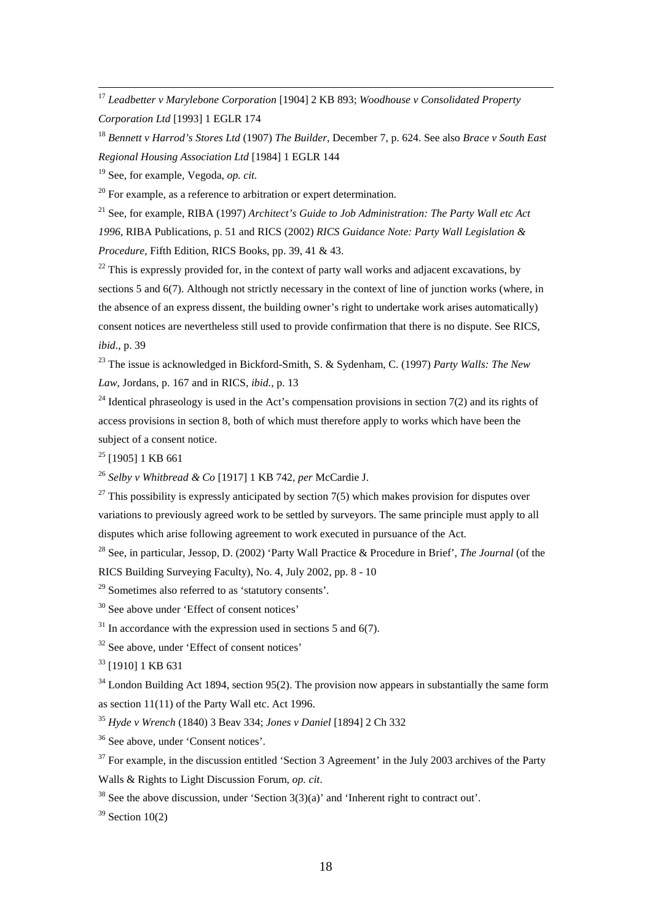<span id="page-19-0"></span> 17 *Leadbetter v Marylebone Corporation* [1904] 2 KB 893; *Woodhouse v Consolidated Property Corporation Ltd* [1993] 1 EGLR 174

<span id="page-19-1"></span><sup>18</sup> *Bennett v Harrod's Stores Ltd* (1907) *The Builder*, December 7, p. 624. See also *Brace v South East Regional Housing Association Ltd* [1984] 1 EGLR 144

<span id="page-19-2"></span><sup>19</sup> See, for example, Vegoda, *op. cit.*

<span id="page-19-3"></span> $20$  For example, as a reference to arbitration or expert determination.

<span id="page-19-4"></span><sup>21</sup> See, for example, RIBA (1997) *Architect's Guide to Job Administration: The Party Wall etc Act 1996*, RIBA Publications, p. 51 and RICS (2002) *RICS Guidance Note: Party Wall Legislation & Procedure*, Fifth Edition, RICS Books, pp. 39, 41 & 43.

<span id="page-19-5"></span> $22$  This is expressly provided for, in the context of party wall works and adjacent excavations, by sections 5 and 6(7). Although not strictly necessary in the context of line of junction works (where, in the absence of an express dissent, the building owner's right to undertake work arises automatically) consent notices are nevertheless still used to provide confirmation that there is no dispute. See RICS, *ibid*., p. 39

<span id="page-19-6"></span><sup>23</sup> The issue is acknowledged in Bickford-Smith, S. & Sydenham, C. (1997) *Party Walls: The New Law*, Jordans, p. 167 and in RICS, *ibid.*, p. 13

<span id="page-19-7"></span><sup>24</sup> Identical phraseology is used in the Act's compensation provisions in section  $7(2)$  and its rights of access provisions in section 8, both of which must therefore apply to works which have been the subject of a consent notice.

<span id="page-19-8"></span> $25$  [1905] 1 KB 661

<span id="page-19-9"></span><sup>26</sup> *Selby v Whitbread & Co* [1917] 1 KB 742, *per* McCardie J.

<span id="page-19-10"></span> $27$  This possibility is expressly anticipated by section 7(5) which makes provision for disputes over variations to previously agreed work to be settled by surveyors. The same principle must apply to all disputes which arise following agreement to work executed in pursuance of the Act.

<span id="page-19-11"></span><sup>28</sup> See, in particular, Jessop, D. (2002) 'Party Wall Practice & Procedure in Brief', *The Journal* (of the RICS Building Surveying Faculty), No. 4, July 2002, pp. 8 - 10

<span id="page-19-12"></span><sup>29</sup> Sometimes also referred to as 'statutory consents'.

<span id="page-19-13"></span><sup>30</sup> See above under 'Effect of consent notices'

<span id="page-19-14"></span> $31$  In accordance with the expression used in sections 5 and 6(7).

<span id="page-19-15"></span><sup>32</sup> See above, under 'Effect of consent notices'

<span id="page-19-16"></span><sup>33</sup> [1910] 1 KB 631

<span id="page-19-17"></span> $34$  London Building Act 1894, section 95(2). The provision now appears in substantially the same form as section 11(11) of the Party Wall etc. Act 1996.

<span id="page-19-18"></span><sup>35</sup> *Hyde v Wrench* (1840) 3 Beav 334; *Jones v Daniel* [1894] 2 Ch 332

<span id="page-19-19"></span><sup>36</sup> See above, under 'Consent notices'.

<span id="page-19-20"></span><sup>37</sup> For example, in the discussion entitled 'Section 3 Agreement' in the July 2003 archives of the Party Walls & Rights to Light Discussion Forum, *op. cit*.

<span id="page-19-21"></span><sup>38</sup> See the above discussion, under 'Section  $3(3)(a)$ ' and 'Inherent right to contract out'.

<span id="page-19-22"></span> $39$  Section 10(2)